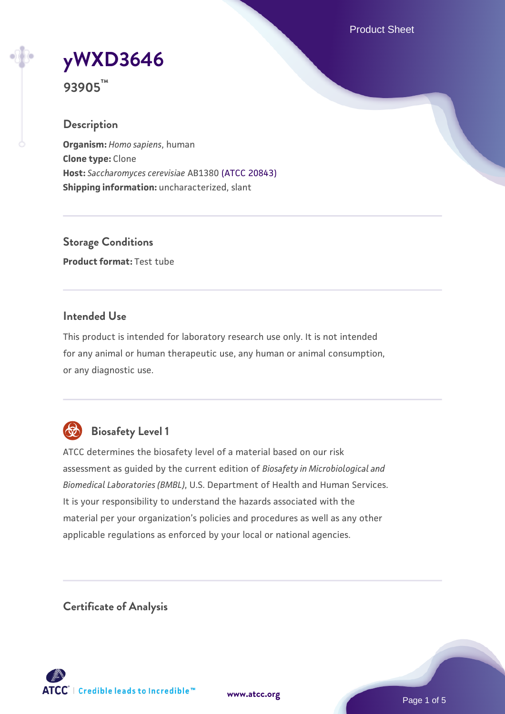Product Sheet

# **[yWXD3646](https://www.atcc.org/products/93905)**

**93905™**

# **Description**

**Organism:** *Homo sapiens*, human **Clone type:** Clone **Host:** *Saccharomyces cerevisiae* AB1380 [\(ATCC 20843\)](https://www.atcc.org/products/20843) **Shipping information:** uncharacterized, slant

**Storage Conditions Product format:** Test tube

# **Intended Use**

This product is intended for laboratory research use only. It is not intended for any animal or human therapeutic use, any human or animal consumption, or any diagnostic use.



# **Biosafety Level 1**

ATCC determines the biosafety level of a material based on our risk assessment as guided by the current edition of *Biosafety in Microbiological and Biomedical Laboratories (BMBL)*, U.S. Department of Health and Human Services. It is your responsibility to understand the hazards associated with the material per your organization's policies and procedures as well as any other applicable regulations as enforced by your local or national agencies.

**Certificate of Analysis**

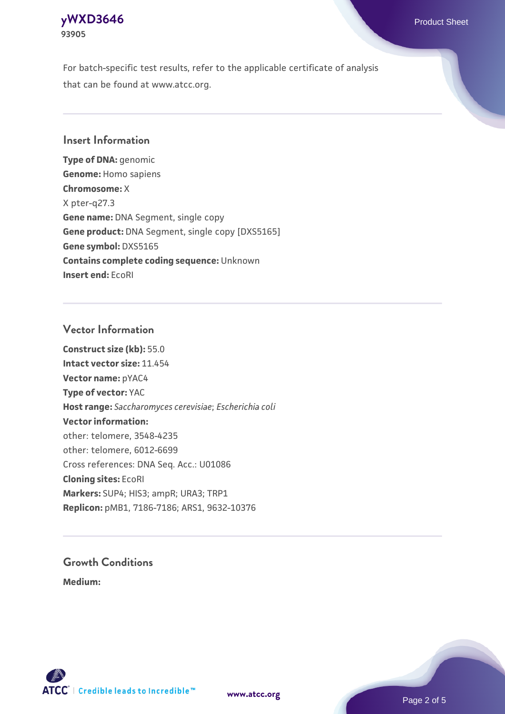### **[yWXD3646](https://www.atcc.org/products/93905)** Product Sheet **93905**

For batch-specific test results, refer to the applicable certificate of analysis that can be found at www.atcc.org.

## **Insert Information**

**Type of DNA:** genomic **Genome:** Homo sapiens **Chromosome:** X X pter-q27.3 **Gene name:** DNA Segment, single copy **Gene product:** DNA Segment, single copy [DXS5165] **Gene symbol:** DXS5165 **Contains complete coding sequence:** Unknown **Insert end:** EcoRI

## **Vector Information**

**Construct size (kb):** 55.0 **Intact vector size:** 11.454 **Vector name:** pYAC4 **Type of vector:** YAC **Host range:** *Saccharomyces cerevisiae*; *Escherichia coli* **Vector information:** other: telomere, 3548-4235 other: telomere, 6012-6699 Cross references: DNA Seq. Acc.: U01086 **Cloning sites:** EcoRI **Markers:** SUP4; HIS3; ampR; URA3; TRP1 **Replicon:** pMB1, 7186-7186; ARS1, 9632-10376

# **Growth Conditions**

**Medium:** 



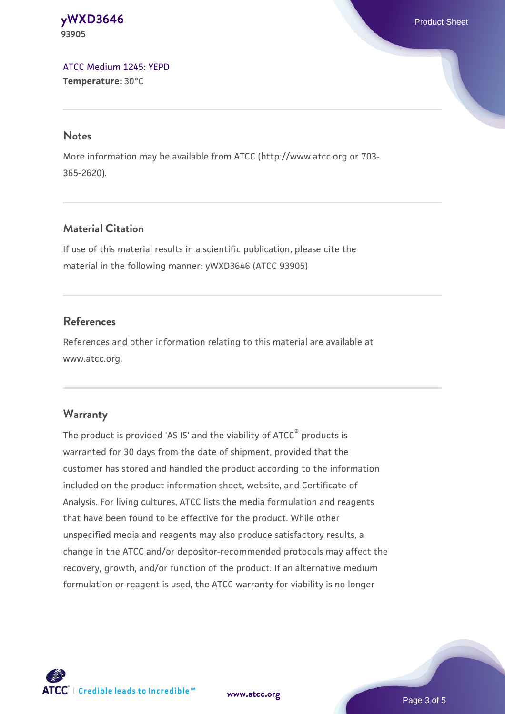#### **[yWXD3646](https://www.atcc.org/products/93905)** Product Sheet **93905**

[ATCC Medium 1245: YEPD](https://www.atcc.org/-/media/product-assets/documents/microbial-media-formulations/1/2/4/5/atcc-medium-1245.pdf?rev=705ca55d1b6f490a808a965d5c072196) **Temperature:** 30°C

#### **Notes**

More information may be available from ATCC (http://www.atcc.org or 703- 365-2620).

# **Material Citation**

If use of this material results in a scientific publication, please cite the material in the following manner: yWXD3646 (ATCC 93905)

# **References**

References and other information relating to this material are available at www.atcc.org.

# **Warranty**

The product is provided 'AS IS' and the viability of ATCC® products is warranted for 30 days from the date of shipment, provided that the customer has stored and handled the product according to the information included on the product information sheet, website, and Certificate of Analysis. For living cultures, ATCC lists the media formulation and reagents that have been found to be effective for the product. While other unspecified media and reagents may also produce satisfactory results, a change in the ATCC and/or depositor-recommended protocols may affect the recovery, growth, and/or function of the product. If an alternative medium formulation or reagent is used, the ATCC warranty for viability is no longer



**[www.atcc.org](http://www.atcc.org)**

Page 3 of 5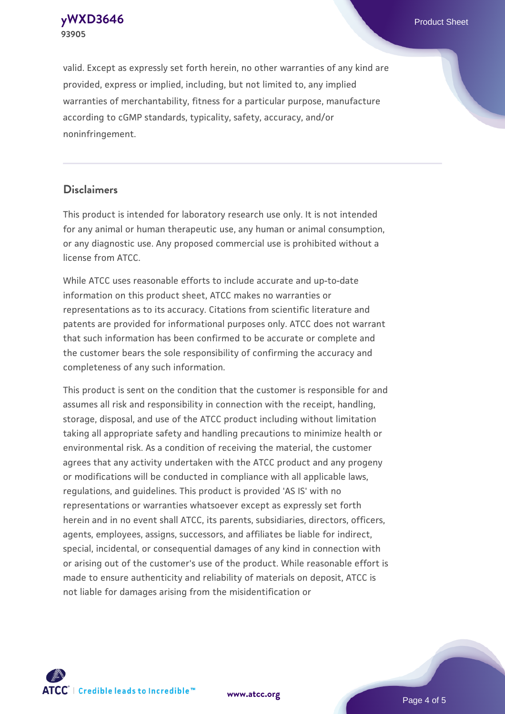**[yWXD3646](https://www.atcc.org/products/93905)** Product Sheet **93905**

valid. Except as expressly set forth herein, no other warranties of any kind are provided, express or implied, including, but not limited to, any implied warranties of merchantability, fitness for a particular purpose, manufacture according to cGMP standards, typicality, safety, accuracy, and/or noninfringement.

#### **Disclaimers**

This product is intended for laboratory research use only. It is not intended for any animal or human therapeutic use, any human or animal consumption, or any diagnostic use. Any proposed commercial use is prohibited without a license from ATCC.

While ATCC uses reasonable efforts to include accurate and up-to-date information on this product sheet, ATCC makes no warranties or representations as to its accuracy. Citations from scientific literature and patents are provided for informational purposes only. ATCC does not warrant that such information has been confirmed to be accurate or complete and the customer bears the sole responsibility of confirming the accuracy and completeness of any such information.

This product is sent on the condition that the customer is responsible for and assumes all risk and responsibility in connection with the receipt, handling, storage, disposal, and use of the ATCC product including without limitation taking all appropriate safety and handling precautions to minimize health or environmental risk. As a condition of receiving the material, the customer agrees that any activity undertaken with the ATCC product and any progeny or modifications will be conducted in compliance with all applicable laws, regulations, and guidelines. This product is provided 'AS IS' with no representations or warranties whatsoever except as expressly set forth herein and in no event shall ATCC, its parents, subsidiaries, directors, officers, agents, employees, assigns, successors, and affiliates be liable for indirect, special, incidental, or consequential damages of any kind in connection with or arising out of the customer's use of the product. While reasonable effort is made to ensure authenticity and reliability of materials on deposit, ATCC is not liable for damages arising from the misidentification or



**[www.atcc.org](http://www.atcc.org)**

Page 4 of 5